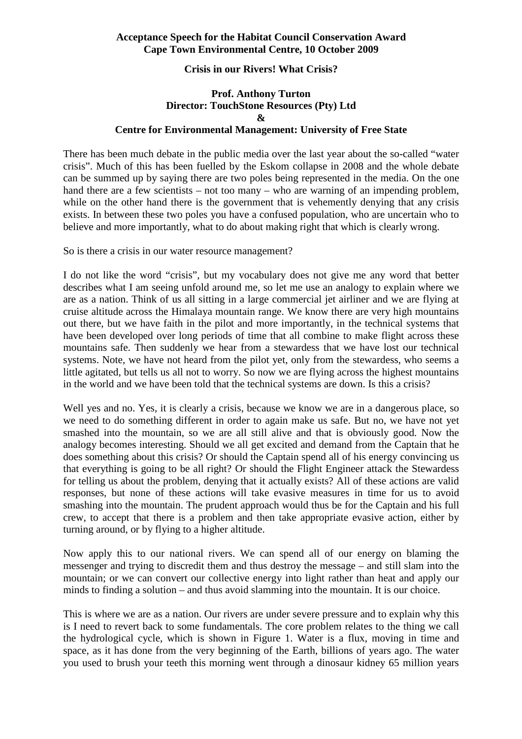# **Crisis in our Rivers! What Crisis?**

# **Prof. Anthony Turton Director: TouchStone Resources (Pty) Ltd & Centre for Environmental Management: University of Free State**

There has been much debate in the public media over the last year about the so-called "water crisis". Much of this has been fuelled by the Eskom collapse in 2008 and the whole debate can be summed up by saying there are two poles being represented in the media. On the one hand there are a few scientists – not too many – who are warning of an impending problem, while on the other hand there is the government that is vehemently denying that any crisis exists. In between these two poles you have a confused population, who are uncertain who to believe and more importantly, what to do about making right that which is clearly wrong.

So is there a crisis in our water resource management?

I do not like the word "crisis", but my vocabulary does not give me any word that better describes what I am seeing unfold around me, so let me use an analogy to explain where we are as a nation. Think of us all sitting in a large commercial jet airliner and we are flying at cruise altitude across the Himalaya mountain range. We know there are very high mountains out there, but we have faith in the pilot and more importantly, in the technical systems that have been developed over long periods of time that all combine to make flight across these mountains safe. Then suddenly we hear from a stewardess that we have lost our technical systems. Note, we have not heard from the pilot yet, only from the stewardess, who seems a little agitated, but tells us all not to worry. So now we are flying across the highest mountains in the world and we have been told that the technical systems are down. Is this a crisis?

Well yes and no. Yes, it is clearly a crisis, because we know we are in a dangerous place, so we need to do something different in order to again make us safe. But no, we have not yet smashed into the mountain, so we are all still alive and that is obviously good. Now the analogy becomes interesting. Should we all get excited and demand from the Captain that he does something about this crisis? Or should the Captain spend all of his energy convincing us that everything is going to be all right? Or should the Flight Engineer attack the Stewardess for telling us about the problem, denying that it actually exists? All of these actions are valid responses, but none of these actions will take evasive measures in time for us to avoid smashing into the mountain. The prudent approach would thus be for the Captain and his full crew, to accept that there is a problem and then take appropriate evasive action, either by turning around, or by flying to a higher altitude.

Now apply this to our national rivers. We can spend all of our energy on blaming the messenger and trying to discredit them and thus destroy the message – and still slam into the mountain; or we can convert our collective energy into light rather than heat and apply our minds to finding a solution – and thus avoid slamming into the mountain. It is our choice.

This is where we are as a nation. Our rivers are under severe pressure and to explain why this is I need to revert back to some fundamentals. The core problem relates to the thing we call the hydrological cycle, which is shown in Figure 1. Water is a flux, moving in time and space, as it has done from the very beginning of the Earth, billions of years ago. The water you used to brush your teeth this morning went through a dinosaur kidney 65 million years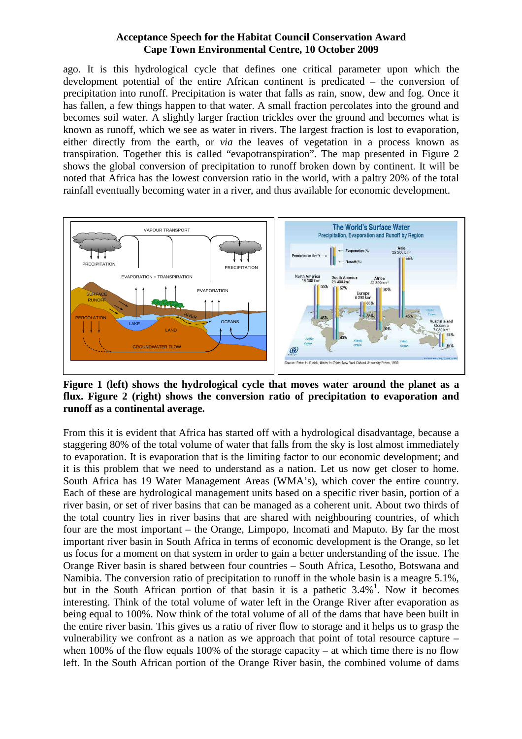ago. It is this hydrological cycle that defines one critical parameter upon which the development potential of the entire African continent is predicated – the conversion of precipitation into runoff. Precipitation is water that falls as rain, snow, dew and fog. Once it has fallen, a few things happen to that water. A small fraction percolates into the ground and becomes soil water. A slightly larger fraction trickles over the ground and becomes what is known as runoff, which we see as water in rivers. The largest fraction is lost to evaporation, either directly from the earth, or *via* the leaves of vegetation in a process known as transpiration. Together this is called "evapotranspiration". The map presented in Figure 2 shows the global conversion of precipitation to runoff broken down by continent. It will be noted that Africa has the lowest conversion ratio in the world, with a paltry 20% of the total rainfall eventually becoming water in a river, and thus available for economic development.



**Figure 1 (left) shows the hydrological cycle that moves water around the planet as a flux. Figure 2 (right) shows the conversion ratio of precipitation to evaporation and runoff as a continental average.** 

From this it is evident that Africa has started off with a hydrological disadvantage, because a staggering 80% of the total volume of water that falls from the sky is lost almost immediately to evaporation. It is evaporation that is the limiting factor to our economic development; and it is this problem that we need to understand as a nation. Let us now get closer to home. South Africa has 19 Water Management Areas (WMA's), which cover the entire country. Each of these are hydrological management units based on a specific river basin, portion of a river basin, or set of river basins that can be managed as a coherent unit. About two thirds of the total country lies in river basins that are shared with neighbouring countries, of which four are the most important – the Orange, Limpopo, Incomati and Maputo. By far the most important river basin in South Africa in terms of economic development is the Orange, so let us focus for a moment on that system in order to gain a better understanding of the issue. The Orange River basin is shared between four countries – South Africa, Lesotho, Botswana and Namibia. The conversion ratio of precipitation to runoff in the whole basin is a meagre 5.1%, but in the South African portion of that basin it is a pathetic  $3.4\%$ <sup>1</sup>. Now it becomes interesting. Think of the total volume of water left in the Orange River after evaporation as being equal to 100%. Now think of the total volume of all of the dams that have been built in the entire river basin. This gives us a ratio of river flow to storage and it helps us to grasp the vulnerability we confront as a nation as we approach that point of total resource capture – when 100% of the flow equals 100% of the storage capacity – at which time there is no flow left. In the South African portion of the Orange River basin, the combined volume of dams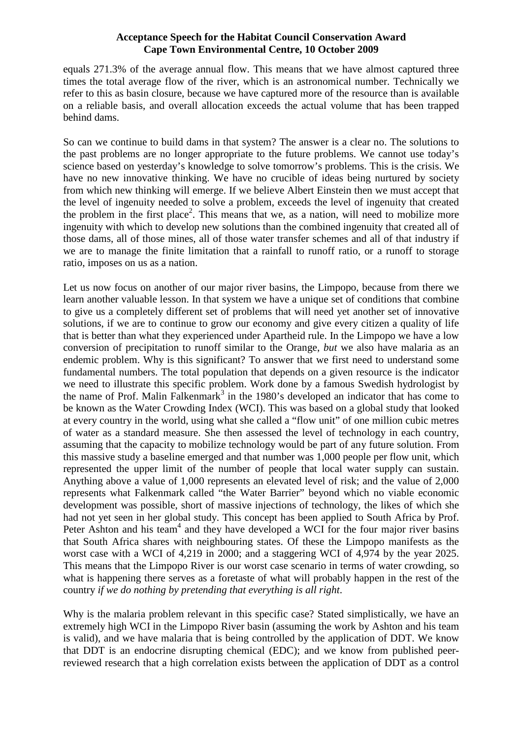equals 271.3% of the average annual flow. This means that we have almost captured three times the total average flow of the river, which is an astronomical number. Technically we refer to this as basin closure, because we have captured more of the resource than is available on a reliable basis, and overall allocation exceeds the actual volume that has been trapped behind dams.

So can we continue to build dams in that system? The answer is a clear no. The solutions to the past problems are no longer appropriate to the future problems. We cannot use today's science based on yesterday's knowledge to solve tomorrow's problems. This is the crisis. We have no new innovative thinking. We have no crucible of ideas being nurtured by society from which new thinking will emerge. If we believe Albert Einstein then we must accept that the level of ingenuity needed to solve a problem, exceeds the level of ingenuity that created the problem in the first place<sup>2</sup>. This means that we, as a nation, will need to mobilize more ingenuity with which to develop new solutions than the combined ingenuity that created all of those dams, all of those mines, all of those water transfer schemes and all of that industry if we are to manage the finite limitation that a rainfall to runoff ratio, or a runoff to storage ratio, imposes on us as a nation.

Let us now focus on another of our major river basins, the Limpopo, because from there we learn another valuable lesson. In that system we have a unique set of conditions that combine to give us a completely different set of problems that will need yet another set of innovative solutions, if we are to continue to grow our economy and give every citizen a quality of life that is better than what they experienced under Apartheid rule. In the Limpopo we have a low conversion of precipitation to runoff similar to the Orange, *but* we also have malaria as an endemic problem. Why is this significant? To answer that we first need to understand some fundamental numbers. The total population that depends on a given resource is the indicator we need to illustrate this specific problem. Work done by a famous Swedish hydrologist by the name of Prof. Malin Falkenmark<sup>3</sup> in the 1980's developed an indicator that has come to be known as the Water Crowding Index (WCI). This was based on a global study that looked at every country in the world, using what she called a "flow unit" of one million cubic metres of water as a standard measure. She then assessed the level of technology in each country, assuming that the capacity to mobilize technology would be part of any future solution. From this massive study a baseline emerged and that number was 1,000 people per flow unit, which represented the upper limit of the number of people that local water supply can sustain. Anything above a value of 1,000 represents an elevated level of risk; and the value of 2,000 represents what Falkenmark called "the Water Barrier" beyond which no viable economic development was possible, short of massive injections of technology, the likes of which she had not yet seen in her global study. This concept has been applied to South Africa by Prof. Peter Ashton and his team<sup>4</sup> and they have developed a WCI for the four major river basins that South Africa shares with neighbouring states. Of these the Limpopo manifests as the worst case with a WCI of 4,219 in 2000; and a staggering WCI of 4,974 by the year 2025. This means that the Limpopo River is our worst case scenario in terms of water crowding, so what is happening there serves as a foretaste of what will probably happen in the rest of the country *if we do nothing by pretending that everything is all right*.

Why is the malaria problem relevant in this specific case? Stated simplistically, we have an extremely high WCI in the Limpopo River basin (assuming the work by Ashton and his team is valid), and we have malaria that is being controlled by the application of DDT. We know that DDT is an endocrine disrupting chemical (EDC); and we know from published peerreviewed research that a high correlation exists between the application of DDT as a control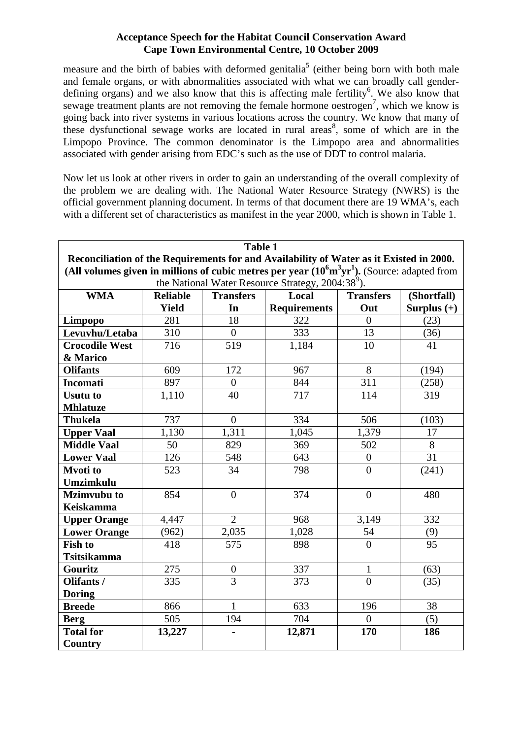measure and the birth of babies with deformed genitalia<sup>5</sup> (either being born with both male and female organs, or with abnormalities associated with what we can broadly call genderdefining organs) and we also know that this is affecting male fertility<sup>6</sup>. We also know that sewage treatment plants are not removing the female hormone oestrogen<sup>7</sup>, which we know is going back into river systems in various locations across the country. We know that many of these dysfunctional sewage works are located in rural areas<sup>8</sup>, some of which are in the Limpopo Province. The common denominator is the Limpopo area and abnormalities associated with gender arising from EDC's such as the use of DDT to control malaria.

Now let us look at other rivers in order to gain an understanding of the overall complexity of the problem we are dealing with. The National Water Resource Strategy (NWRS) is the official government planning document. In terms of that document there are 19 WMA's, each with a different set of characteristics as manifest in the year 2000, which is shown in Table 1.

| <b>Table 1</b>                                                                                                  |                 |                  |                     |                  |               |
|-----------------------------------------------------------------------------------------------------------------|-----------------|------------------|---------------------|------------------|---------------|
| Reconciliation of the Requirements for and Availability of Water as it Existed in 2000.                         |                 |                  |                     |                  |               |
| (All volumes given in millions of cubic metres per year $(10^6 \text{m}^3 \text{yr}^1)$ . (Source: adapted from |                 |                  |                     |                  |               |
| the National Water Resource Strategy, 2004:38 <sup>9</sup> ).                                                   |                 |                  |                     |                  |               |
| <b>WMA</b>                                                                                                      | <b>Reliable</b> | <b>Transfers</b> | Local               | <b>Transfers</b> | (Shortfall)   |
|                                                                                                                 | <b>Yield</b>    | In               | <b>Requirements</b> | Out              | Surplus $(+)$ |
| Limpopo                                                                                                         | 281             | 18               | 322                 | $\overline{0}$   | (23)          |
| Levuvhu/Letaba                                                                                                  | 310             | $\overline{0}$   | 333                 | 13               | (36)          |
| <b>Crocodile West</b>                                                                                           | 716             | 519              | 1,184               | 10               | 41            |
| & Marico                                                                                                        |                 |                  |                     |                  |               |
| <b>Olifants</b>                                                                                                 | 609             | 172              | 967                 | 8                | (194)         |
| <b>Incomati</b>                                                                                                 | 897             | $\overline{0}$   | 844                 | $\overline{311}$ | (258)         |
| <b>Usutu to</b>                                                                                                 | 1,110           | 40               | 717                 | 114              | 319           |
| <b>Mhlatuze</b>                                                                                                 |                 |                  |                     |                  |               |
| <b>Thukela</b>                                                                                                  | 737             | $\overline{0}$   | 334                 | 506              | (103)         |
| <b>Upper Vaal</b>                                                                                               | 1,130           | 1,311            | 1,045               | 1,379            | 17            |
| <b>Middle Vaal</b>                                                                                              | 50              | 829              | 369                 | 502              | 8             |
| <b>Lower Vaal</b>                                                                                               | 126             | 548              | 643                 | $\overline{0}$   | 31            |
| <b>Mvoti</b> to                                                                                                 | 523             | 34               | 798                 | $\overline{0}$   | (241)         |
| Umzimkulu                                                                                                       |                 |                  |                     |                  |               |
| <b>Mzimvubu to</b>                                                                                              | 854             | $\overline{0}$   | 374                 | $\overline{0}$   | 480           |
| <b>Keiskamma</b>                                                                                                |                 |                  |                     |                  |               |
| <b>Upper Orange</b>                                                                                             | 4,447           | $\overline{2}$   | 968                 | 3,149            | 332           |
| <b>Lower Orange</b>                                                                                             | (962)           | 2,035            | 1,028               | 54               | (9)           |
| <b>Fish to</b>                                                                                                  | 418             | 575              | 898                 | $\overline{0}$   | 95            |
| <b>Tsitsikamma</b>                                                                                              |                 |                  |                     |                  |               |
| Gouritz                                                                                                         | 275             | $\boldsymbol{0}$ | 337                 | $\mathbf{1}$     | (63)          |
| Olifants /                                                                                                      | 335             | $\overline{3}$   | 373                 | $\overline{0}$   | (35)          |
| <b>Doring</b>                                                                                                   |                 |                  |                     |                  |               |
| <b>Breede</b>                                                                                                   | 866             | $\mathbf{1}$     | 633                 | 196              | 38            |
| <b>Berg</b>                                                                                                     | 505             | 194              | 704                 | $\overline{0}$   | (5)           |
| <b>Total for</b>                                                                                                | 13,227          |                  | 12,871              | 170              | 186           |
| <b>Country</b>                                                                                                  |                 |                  |                     |                  |               |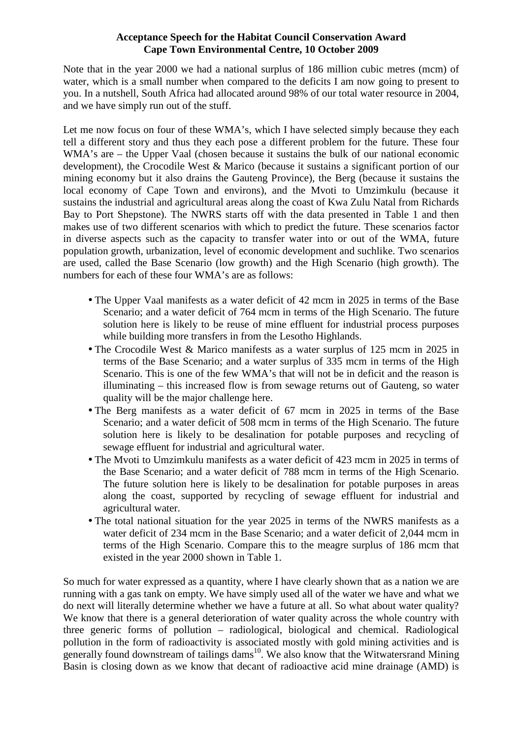Note that in the year 2000 we had a national surplus of 186 million cubic metres (mcm) of water, which is a small number when compared to the deficits I am now going to present to you. In a nutshell, South Africa had allocated around 98% of our total water resource in 2004, and we have simply run out of the stuff.

Let me now focus on four of these WMA's, which I have selected simply because they each tell a different story and thus they each pose a different problem for the future. These four WMA's are – the Upper Vaal (chosen because it sustains the bulk of our national economic development), the Crocodile West & Marico (because it sustains a significant portion of our mining economy but it also drains the Gauteng Province), the Berg (because it sustains the local economy of Cape Town and environs), and the Mvoti to Umzimkulu (because it sustains the industrial and agricultural areas along the coast of Kwa Zulu Natal from Richards Bay to Port Shepstone). The NWRS starts off with the data presented in Table 1 and then makes use of two different scenarios with which to predict the future. These scenarios factor in diverse aspects such as the capacity to transfer water into or out of the WMA, future population growth, urbanization, level of economic development and suchlike. Two scenarios are used, called the Base Scenario (low growth) and the High Scenario (high growth). The numbers for each of these four WMA's are as follows:

- The Upper Vaal manifests as a water deficit of 42 mcm in 2025 in terms of the Base Scenario; and a water deficit of 764 mcm in terms of the High Scenario. The future solution here is likely to be reuse of mine effluent for industrial process purposes while building more transfers in from the Lesotho Highlands.
- The Crocodile West & Marico manifests as a water surplus of 125 mcm in 2025 in terms of the Base Scenario; and a water surplus of 335 mcm in terms of the High Scenario. This is one of the few WMA's that will not be in deficit and the reason is illuminating – this increased flow is from sewage returns out of Gauteng, so water quality will be the major challenge here.
- The Berg manifests as a water deficit of 67 mcm in 2025 in terms of the Base Scenario; and a water deficit of 508 mcm in terms of the High Scenario. The future solution here is likely to be desalination for potable purposes and recycling of sewage effluent for industrial and agricultural water.
- The Mvoti to Umzimkulu manifests as a water deficit of 423 mcm in 2025 in terms of the Base Scenario; and a water deficit of 788 mcm in terms of the High Scenario. The future solution here is likely to be desalination for potable purposes in areas along the coast, supported by recycling of sewage effluent for industrial and agricultural water.
- The total national situation for the year 2025 in terms of the NWRS manifests as a water deficit of 234 mcm in the Base Scenario; and a water deficit of 2,044 mcm in terms of the High Scenario. Compare this to the meagre surplus of 186 mcm that existed in the year 2000 shown in Table 1.

So much for water expressed as a quantity, where I have clearly shown that as a nation we are running with a gas tank on empty. We have simply used all of the water we have and what we do next will literally determine whether we have a future at all. So what about water quality? We know that there is a general deterioration of water quality across the whole country with three generic forms of pollution – radiological, biological and chemical. Radiological pollution in the form of radioactivity is associated mostly with gold mining activities and is generally found downstream of tailings dams<sup>10</sup>. We also know that the Witwatersrand Mining Basin is closing down as we know that decant of radioactive acid mine drainage (AMD) is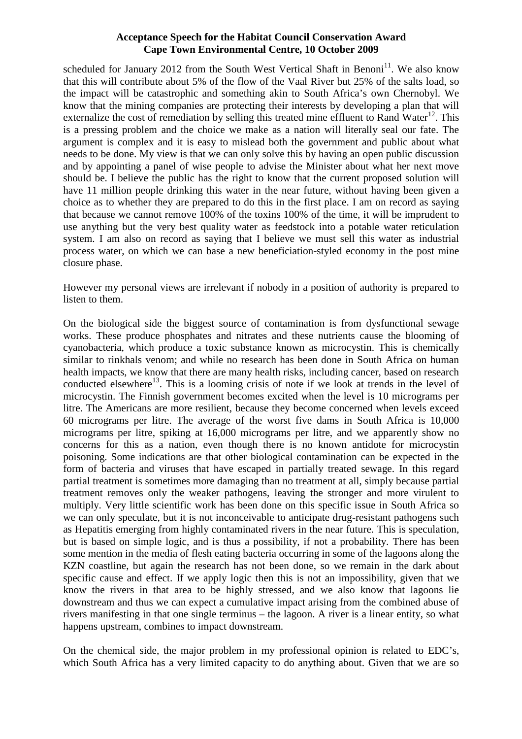scheduled for January 2012 from the South West Vertical Shaft in Benoni<sup>11</sup>. We also know that this will contribute about 5% of the flow of the Vaal River but 25% of the salts load, so the impact will be catastrophic and something akin to South Africa's own Chernobyl. We know that the mining companies are protecting their interests by developing a plan that will externalize the cost of remediation by selling this treated mine effluent to Rand Water<sup>12</sup>. This is a pressing problem and the choice we make as a nation will literally seal our fate. The argument is complex and it is easy to mislead both the government and public about what needs to be done. My view is that we can only solve this by having an open public discussion and by appointing a panel of wise people to advise the Minister about what her next move should be. I believe the public has the right to know that the current proposed solution will have 11 million people drinking this water in the near future, without having been given a choice as to whether they are prepared to do this in the first place. I am on record as saying that because we cannot remove 100% of the toxins 100% of the time, it will be imprudent to use anything but the very best quality water as feedstock into a potable water reticulation system. I am also on record as saying that I believe we must sell this water as industrial process water, on which we can base a new beneficiation-styled economy in the post mine closure phase.

However my personal views are irrelevant if nobody in a position of authority is prepared to listen to them.

On the biological side the biggest source of contamination is from dysfunctional sewage works. These produce phosphates and nitrates and these nutrients cause the blooming of cyanobacteria, which produce a toxic substance known as microcystin. This is chemically similar to rinkhals venom; and while no research has been done in South Africa on human health impacts, we know that there are many health risks, including cancer, based on research conducted elsewhere<sup>13</sup>. This is a looming crisis of note if we look at trends in the level of microcystin. The Finnish government becomes excited when the level is 10 micrograms per litre. The Americans are more resilient, because they become concerned when levels exceed 60 micrograms per litre. The average of the worst five dams in South Africa is 10,000 micrograms per litre, spiking at 16,000 micrograms per litre, and we apparently show no concerns for this as a nation, even though there is no known antidote for microcystin poisoning. Some indications are that other biological contamination can be expected in the form of bacteria and viruses that have escaped in partially treated sewage. In this regard partial treatment is sometimes more damaging than no treatment at all, simply because partial treatment removes only the weaker pathogens, leaving the stronger and more virulent to multiply. Very little scientific work has been done on this specific issue in South Africa so we can only speculate, but it is not inconceivable to anticipate drug-resistant pathogens such as Hepatitis emerging from highly contaminated rivers in the near future. This is speculation, but is based on simple logic, and is thus a possibility, if not a probability. There has been some mention in the media of flesh eating bacteria occurring in some of the lagoons along the KZN coastline, but again the research has not been done, so we remain in the dark about specific cause and effect. If we apply logic then this is not an impossibility, given that we know the rivers in that area to be highly stressed, and we also know that lagoons lie downstream and thus we can expect a cumulative impact arising from the combined abuse of rivers manifesting in that one single terminus – the lagoon. A river is a linear entity, so what happens upstream, combines to impact downstream.

On the chemical side, the major problem in my professional opinion is related to EDC's, which South Africa has a very limited capacity to do anything about. Given that we are so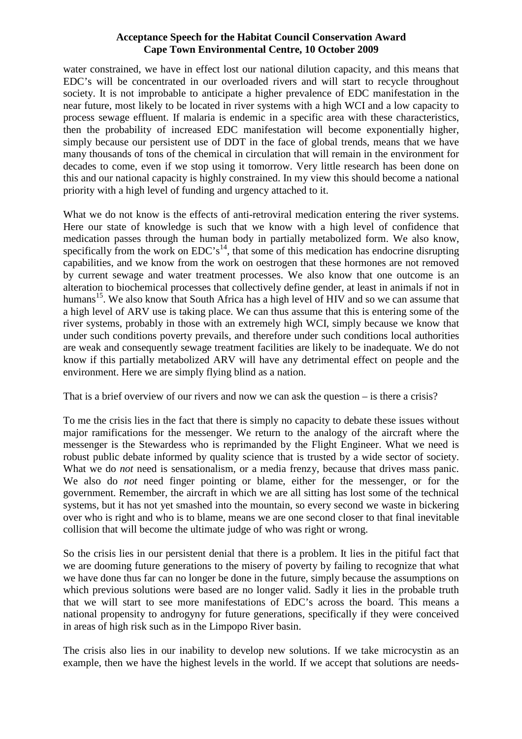water constrained, we have in effect lost our national dilution capacity, and this means that EDC's will be concentrated in our overloaded rivers and will start to recycle throughout society. It is not improbable to anticipate a higher prevalence of EDC manifestation in the near future, most likely to be located in river systems with a high WCI and a low capacity to process sewage effluent. If malaria is endemic in a specific area with these characteristics, then the probability of increased EDC manifestation will become exponentially higher, simply because our persistent use of DDT in the face of global trends, means that we have many thousands of tons of the chemical in circulation that will remain in the environment for decades to come, even if we stop using it tomorrow. Very little research has been done on this and our national capacity is highly constrained. In my view this should become a national priority with a high level of funding and urgency attached to it.

What we do not know is the effects of anti-retroviral medication entering the river systems. Here our state of knowledge is such that we know with a high level of confidence that medication passes through the human body in partially metabolized form. We also know, specifically from the work on EDC's<sup>14</sup>, that some of this medication has endocrine disrupting capabilities, and we know from the work on oestrogen that these hormones are not removed by current sewage and water treatment processes. We also know that one outcome is an alteration to biochemical processes that collectively define gender, at least in animals if not in humans<sup>15</sup>. We also know that South Africa has a high level of HIV and so we can assume that a high level of ARV use is taking place. We can thus assume that this is entering some of the river systems, probably in those with an extremely high WCI, simply because we know that under such conditions poverty prevails, and therefore under such conditions local authorities are weak and consequently sewage treatment facilities are likely to be inadequate. We do not know if this partially metabolized ARV will have any detrimental effect on people and the environment. Here we are simply flying blind as a nation.

That is a brief overview of our rivers and now we can ask the question – is there a crisis?

To me the crisis lies in the fact that there is simply no capacity to debate these issues without major ramifications for the messenger. We return to the analogy of the aircraft where the messenger is the Stewardess who is reprimanded by the Flight Engineer. What we need is robust public debate informed by quality science that is trusted by a wide sector of society. What we do *not* need is sensationalism, or a media frenzy, because that drives mass panic. We also do *not* need finger pointing or blame, either for the messenger, or for the government. Remember, the aircraft in which we are all sitting has lost some of the technical systems, but it has not yet smashed into the mountain, so every second we waste in bickering over who is right and who is to blame, means we are one second closer to that final inevitable collision that will become the ultimate judge of who was right or wrong.

So the crisis lies in our persistent denial that there is a problem. It lies in the pitiful fact that we are dooming future generations to the misery of poverty by failing to recognize that what we have done thus far can no longer be done in the future, simply because the assumptions on which previous solutions were based are no longer valid. Sadly it lies in the probable truth that we will start to see more manifestations of EDC's across the board. This means a national propensity to androgyny for future generations, specifically if they were conceived in areas of high risk such as in the Limpopo River basin.

The crisis also lies in our inability to develop new solutions. If we take microcystin as an example, then we have the highest levels in the world. If we accept that solutions are needs-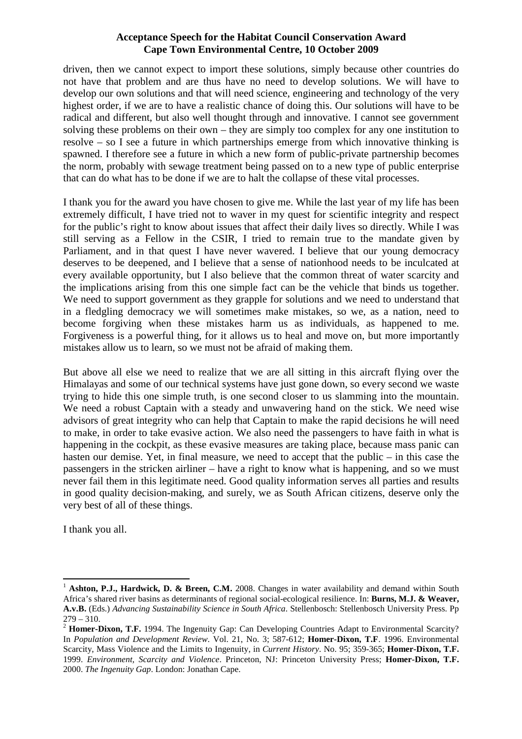driven, then we cannot expect to import these solutions, simply because other countries do not have that problem and are thus have no need to develop solutions. We will have to develop our own solutions and that will need science, engineering and technology of the very highest order, if we are to have a realistic chance of doing this. Our solutions will have to be radical and different, but also well thought through and innovative. I cannot see government solving these problems on their own – they are simply too complex for any one institution to resolve – so I see a future in which partnerships emerge from which innovative thinking is spawned. I therefore see a future in which a new form of public-private partnership becomes the norm, probably with sewage treatment being passed on to a new type of public enterprise that can do what has to be done if we are to halt the collapse of these vital processes.

I thank you for the award you have chosen to give me. While the last year of my life has been extremely difficult, I have tried not to waver in my quest for scientific integrity and respect for the public's right to know about issues that affect their daily lives so directly. While I was still serving as a Fellow in the CSIR, I tried to remain true to the mandate given by Parliament, and in that quest I have never wavered. I believe that our young democracy deserves to be deepened, and I believe that a sense of nationhood needs to be inculcated at every available opportunity, but I also believe that the common threat of water scarcity and the implications arising from this one simple fact can be the vehicle that binds us together. We need to support government as they grapple for solutions and we need to understand that in a fledgling democracy we will sometimes make mistakes, so we, as a nation, need to become forgiving when these mistakes harm us as individuals, as happened to me. Forgiveness is a powerful thing, for it allows us to heal and move on, but more importantly mistakes allow us to learn, so we must not be afraid of making them.

But above all else we need to realize that we are all sitting in this aircraft flying over the Himalayas and some of our technical systems have just gone down, so every second we waste trying to hide this one simple truth, is one second closer to us slamming into the mountain. We need a robust Captain with a steady and unwavering hand on the stick. We need wise advisors of great integrity who can help that Captain to make the rapid decisions he will need to make, in order to take evasive action. We also need the passengers to have faith in what is happening in the cockpit, as these evasive measures are taking place, because mass panic can hasten our demise. Yet, in final measure, we need to accept that the public – in this case the passengers in the stricken airliner – have a right to know what is happening, and so we must never fail them in this legitimate need. Good quality information serves all parties and results in good quality decision-making, and surely, we as South African citizens, deserve only the very best of all of these things.

I thank you all.

l

<sup>&</sup>lt;sup>1</sup> **Ashton, P.J., Hardwick, D. & Breen, C.M.** 2008. Changes in water availability and demand within South Africa's shared river basins as determinants of regional social-ecological resilience. In: **Burns, M.J. & Weaver, A.v.B.** (Eds.) *Advancing Sustainability Science in South Africa*. Stellenbosch: Stellenbosch University Press. Pp  $279 - 310.$ 

<sup>&</sup>lt;sup>2</sup> **Homer-Dixon, T.F.** 1994. The Ingenuity Gap: Can Developing Countries Adapt to Environmental Scarcity? In *Population and Development Review*. Vol. 21, No. 3; 587-612; **Homer-Dixon, T.F**. 1996. Environmental Scarcity, Mass Violence and the Limits to Ingenuity, in *Current History*. No. 95; 359-365; **Homer-Dixon, T.F.** 1999. *Environment, Scarcity and Violence*. Princeton, NJ: Princeton University Press; **Homer-Dixon, T.F.** 2000. *The Ingenuity Gap*. London: Jonathan Cape.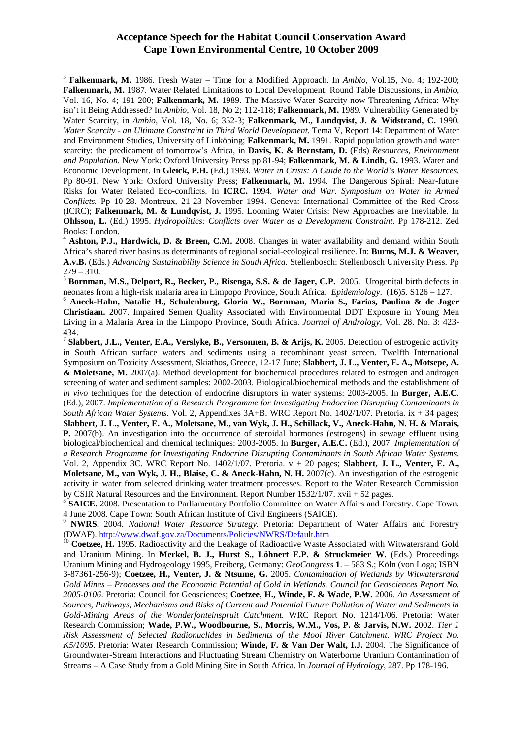l

<sup>3</sup> **Falkenmark, M.** 1986. Fresh Water – Time for a Modified Approach. In *Ambio*, Vol.15, No. 4; 192-200; **Falkenmark, M.** 1987. Water Related Limitations to Local Development: Round Table Discussions, in *Ambio*, Vol. 16, No. 4; 191-200; **Falkenmark, M.** 1989. The Massive Water Scarcity now Threatening Africa: Why isn't it Being Addressed? In *Ambio*, Vol. 18, No 2; 112-118; **Falkenmark, M.** 1989. Vulnerability Generated by Water Scarcity, in *Ambio*, Vol. 18, No. 6; 352-3; **Falkenmark, M., Lundqvist, J. & Widstrand, C.** 1990. *Water Scarcity - an Ultimate Constraint in Third World Development.* Tema V, Report 14: Department of Water and Environment Studies, University of Linköping; **Falkenmark, M.** 1991. Rapid population growth and water scarcity: the predicament of tomorrow's Africa, in **Davis, K. & Bernstam, D.** (Eds) *Resources, Environment and Population.* New York: Oxford University Press pp 81-94; **Falkenmark, M. & Lindh, G.** 1993. Water and Economic Development. In **Gleick, P.H.** (Ed.) 1993. *Water in Crisis: A Guide to the World's Water Resources*. Pp 80-91. New York: Oxford University Press; **Falkenmark, M.** 1994. The Dangerous Spiral: Near-future Risks for Water Related Eco-conflicts. In **ICRC.** 1994. *Water and War. Symposium on Water in Armed Conflicts.* Pp 10-28. Montreux, 21-23 November 1994. Geneva: International Committee of the Red Cross (ICRC); **Falkenmark, M. & Lundqvist, J.** 1995. Looming Water Crisis: New Approaches are Inevitable. In **Ohlsson, L.** (Ed.) 1995. *Hydropolitics: Conflicts over Water as a Development Constraint.* Pp 178-212. Zed Books: London.

<sup>4</sup> Ashton, P.J., Hardwick, D. & Breen, C.M. 2008. Changes in water availability and demand within South Africa's shared river basins as determinants of regional social-ecological resilience. In: **Burns, M.J. & Weaver, A.v.B.** (Eds.) *Advancing Sustainability Science in South Africa*. Stellenbosch: Stellenbosch University Press. Pp  $279 - 310.$ 

<sup>5</sup> **Bornman, M.S., Delport, R., Becker, P., Risenga, S.S. & de Jager, C.P.** 2005. Urogenital birth defects in neonates from a high-risk malaria area in Limpopo Province, South Africa. *Epidemiology*. (16)5. S126 – 127.

<sup>6</sup> **Aneck-Hahn, Natalie H., Schulenburg, Gloria W., Bornman, Maria S., Farias, Paulina & de Jager Christiaan.** 2007. Impaired Semen Quality Associated with Environmental DDT Exposure in Young Men Living in a Malaria Area in the Limpopo Province, South Africa. *Journal of Andrology*, Vol. 28. No. 3: 423- 434.

7 **Slabbert, J.L., Venter, E.A., Verslyke, B., Versonnen, B. & Arijs, K.** 2005. Detection of estrogenic activity in South African surface waters and sediments using a recombinant yeast screen. Twelfth International Symposium on Toxicity Assessment, Skiathos, Greece, 12-17 June; **Slabbert, J. L., Venter, E. A., Motsepe, A. & Moletsane, M.** 2007(a). Method development for biochemical procedures related to estrogen and androgen screening of water and sediment samples: 2002-2003. Biological/biochemical methods and the establishment of *in vivo* techniques for the detection of endocrine disruptors in water systems: 2003-2005. In **Burger, A.E.C**. (Ed.), 2007. *Implementation of a Research Programme for Investigating Endocrine Disrupting Contaminants in South African Water Systems.* Vol. 2, Appendixes 3A+B. WRC Report No. 1402/1/07. Pretoria. ix + 34 pages; **Slabbert, J. L., Venter, E. A., Moletsane, M., van Wyk, J. H., Schillack, V., Aneck-Hahn, N. H. & Marais, P.** 2007(b). An investigation into the occurrence of steroidal hormones (estrogens) in sewage effluent using biological/biochemical and chemical techniques: 2003-2005. In **Burger, A.E.C.** (Ed.), 2007. *Implementation of a Research Programme for Investigating Endocrine Disrupting Contaminants in South African Water Systems.*  Vol. 2, Appendix 3C. WRC Report No. 1402/1/07. Pretoria. v + 20 pages; **Slabbert, J. L., Venter, E. A., Moletsane, M., van Wyk, J. H., Blaise, C. & Aneck-Hahn, N. H.** 2007(c). An investigation of the estrogenic activity in water from selected drinking water treatment processes. Report to the Water Research Commission by CSIR Natural Resources and the Environment. Report Number 1532/1/07. xvii + 52 pages.

<sup>8</sup> SAICE. 2008. Presentation to Parliamentary Portfolio Committee on Water Affairs and Forestry. Cape Town. 4 June 2008. Cape Town: South African Institute of Civil Engineers (SAICE).

<sup>9</sup> **NWRS.** 2004. *National Water Resource Strategy.* Pretoria: Department of Water Affairs and Forestry (DWAF). http://www.dwaf.gov.za/Documents/Policies/NWRS/Default.htm

<sup>10</sup> Coetzee, H. 1995. Radioactivity and the Leakage of Radioactive Waste Associated with Witwatersrand Gold and Uranium Mining. In **Merkel, B. J., Hurst S., Löhnert E.P. & Struckmeier W.** (Eds.) Proceedings Uranium Mining and Hydrogeology 1995, Freiberg, Germany: *GeoCongress* **1**. – 583 S.; Köln (von Loga; ISBN 3-87361-256-9); **Coetzee, H., Venter, J. & Ntsume, G.** 2005. *Contamination of Wetlands by Witwatersrand Gold Mines – Processes and the Economic Potential of Gold in Wetlands. Council for Geosciences Report No. 2005-0106*. Pretoria: Council for Geosciences; **Coetzee, H., Winde, F. & Wade, P.W.** 2006. *An Assessment of Sources, Pathways, Mechanisms and Risks of Current and Potential Future Pollution of Water and Sediments in Gold-Mining Areas of the Wonderfonteinspruit Catchment.* WRC Report No. 1214/1/06. Pretoria: Water Research Commission; **Wade, P.W., Woodbourne, S., Morris, W.M., Vos, P. & Jarvis, N.W.** 2002. *Tier 1 Risk Assessment of Selected Radionuclides in Sediments of the Mooi River Catchment. WRC Project No. K5/1095.* Pretoria: Water Research Commission; **Winde, F. & Van Der Walt, I.J.** 2004. The Significance of Groundwater-Stream Interactions and Fluctuating Stream Chemistry on Waterborne Uranium Contamination of Streams – A Case Study from a Gold Mining Site in South Africa. In *Journal of Hydrology*, 287. Pp 178-196.